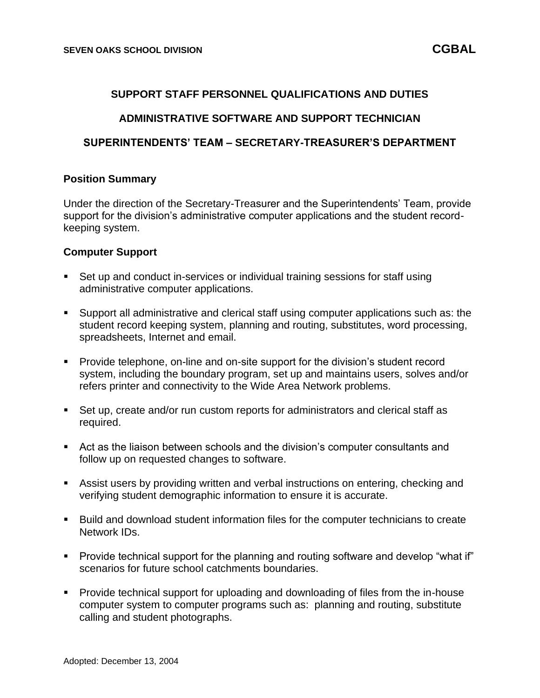## **SUPPORT STAFF PERSONNEL QUALIFICATIONS AND DUTIES**

# **ADMINISTRATIVE SOFTWARE AND SUPPORT TECHNICIAN**

## **SUPERINTENDENTS' TEAM – SECRETARY-TREASURER'S DEPARTMENT**

### **Position Summary**

Under the direction of the Secretary-Treasurer and the Superintendents' Team, provide support for the division's administrative computer applications and the student recordkeeping system.

### **Computer Support**

- Set up and conduct in-services or individual training sessions for staff using administrative computer applications.
- Support all administrative and clerical staff using computer applications such as: the student record keeping system, planning and routing, substitutes, word processing, spreadsheets, Internet and email.
- Provide telephone, on-line and on-site support for the division's student record system, including the boundary program, set up and maintains users, solves and/or refers printer and connectivity to the Wide Area Network problems.
- Set up, create and/or run custom reports for administrators and clerical staff as required.
- Act as the liaison between schools and the division's computer consultants and follow up on requested changes to software.
- **EXECT** Assist users by providing written and verbal instructions on entering, checking and verifying student demographic information to ensure it is accurate.
- Build and download student information files for the computer technicians to create Network IDs.
- Provide technical support for the planning and routing software and develop "what if" scenarios for future school catchments boundaries.
- Provide technical support for uploading and downloading of files from the in-house computer system to computer programs such as: planning and routing, substitute calling and student photographs.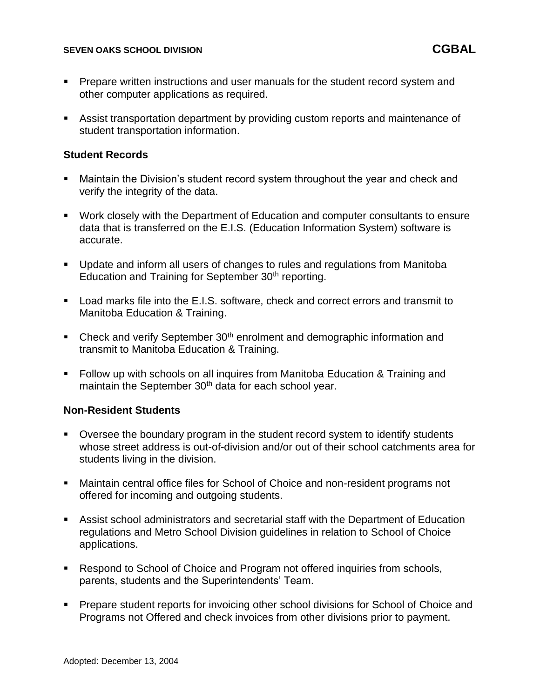### **SEVEN OAKS SCHOOL DIVISION CGBAL**

- Prepare written instructions and user manuals for the student record system and other computer applications as required.
- Assist transportation department by providing custom reports and maintenance of student transportation information.

### **Student Records**

- Maintain the Division's student record system throughout the year and check and verify the integrity of the data.
- Work closely with the Department of Education and computer consultants to ensure data that is transferred on the E.I.S. (Education Information System) software is accurate.
- Update and inform all users of changes to rules and regulations from Manitoba Education and Training for September 30<sup>th</sup> reporting.
- Load marks file into the E.I.S. software, check and correct errors and transmit to Manitoba Education & Training.
- Check and verify September 30<sup>th</sup> enrolment and demographic information and transmit to Manitoba Education & Training.
- Follow up with schools on all inquires from Manitoba Education & Training and maintain the September 30<sup>th</sup> data for each school year.

### **Non-Resident Students**

- Oversee the boundary program in the student record system to identify students whose street address is out-of-division and/or out of their school catchments area for students living in the division.
- Maintain central office files for School of Choice and non-resident programs not offered for incoming and outgoing students.
- Assist school administrators and secretarial staff with the Department of Education regulations and Metro School Division guidelines in relation to School of Choice applications.
- Respond to School of Choice and Program not offered inquiries from schools, parents, students and the Superintendents' Team.
- Prepare student reports for invoicing other school divisions for School of Choice and Programs not Offered and check invoices from other divisions prior to payment.